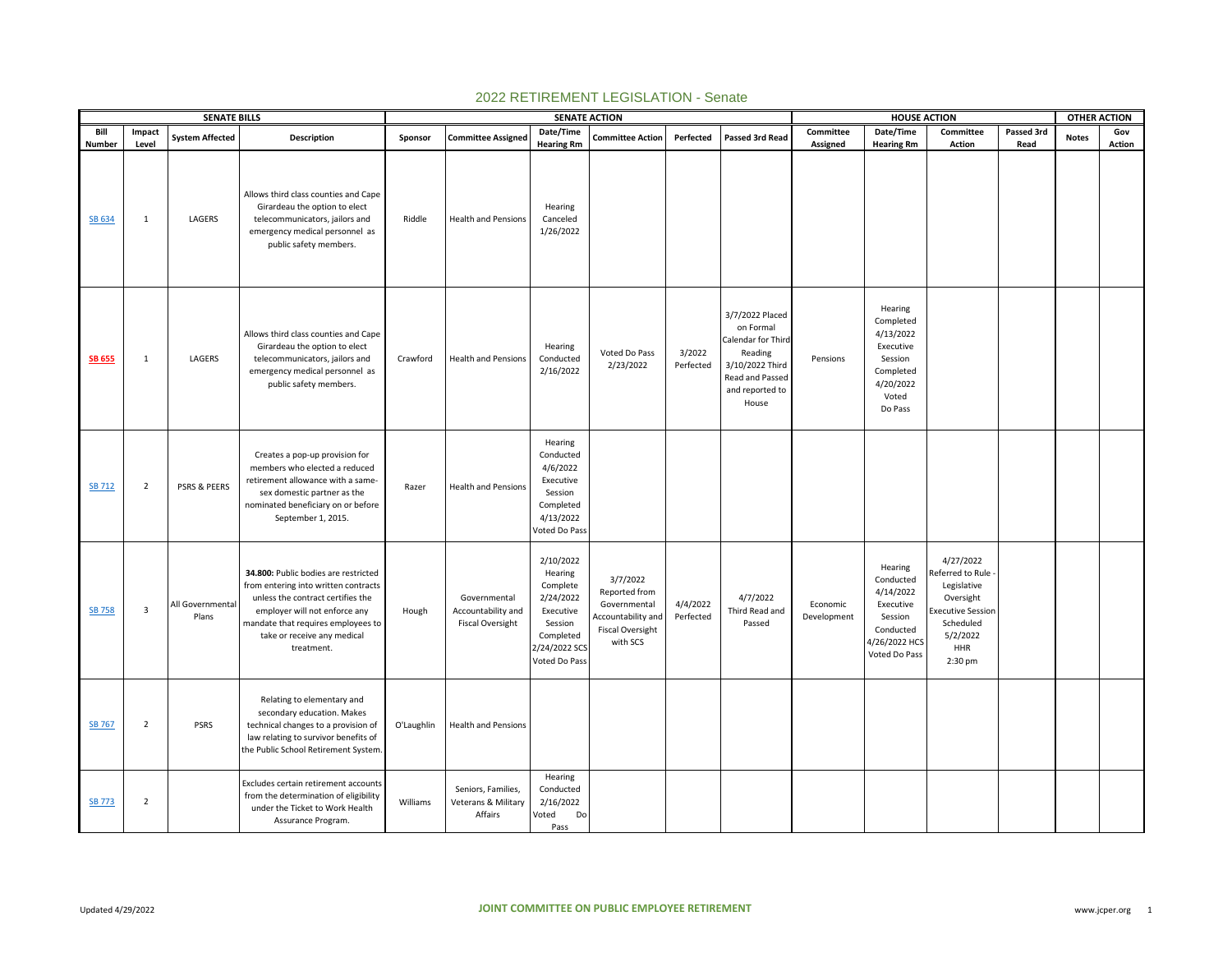|                  |                       | <b>SENATE BILLS</b>       |                                                                                                                                                                                                                                       |            |                                                               | <b>SENATE ACTION</b>                                                                                                 |                                                                                                 |                       |                                                                                                                                 |                         | <b>HOUSE ACTION</b>                                                                                      |                                                                                                                                  |            | <b>OTHER ACTION</b> |               |
|------------------|-----------------------|---------------------------|---------------------------------------------------------------------------------------------------------------------------------------------------------------------------------------------------------------------------------------|------------|---------------------------------------------------------------|----------------------------------------------------------------------------------------------------------------------|-------------------------------------------------------------------------------------------------|-----------------------|---------------------------------------------------------------------------------------------------------------------------------|-------------------------|----------------------------------------------------------------------------------------------------------|----------------------------------------------------------------------------------------------------------------------------------|------------|---------------------|---------------|
| Bill             | Impact                | <b>System Affected</b>    | Description                                                                                                                                                                                                                           | Sponsor    | <b>Committee Assigned</b>                                     | Date/Time                                                                                                            | <b>Committee Action</b>                                                                         | Perfected             | Passed 3rd Read                                                                                                                 | Committee               | Date/Time                                                                                                | Committee                                                                                                                        | Passed 3rd | <b>Notes</b>        | Gov           |
| Number<br>SB 634 | Level<br>$\mathbf{1}$ | LAGERS                    | Allows third class counties and Cape<br>Girardeau the option to elect<br>telecommunicators, jailors and<br>emergency medical personnel as<br>public safety members.                                                                   | Riddle     | <b>Health and Pensions</b>                                    | <b>Hearing Rm</b><br>Hearing<br>Canceled<br>1/26/2022                                                                |                                                                                                 |                       |                                                                                                                                 | Assigned                | <b>Hearing Rm</b>                                                                                        | <b>Action</b>                                                                                                                    | Read       |                     | <b>Action</b> |
| <b>SB 655</b>    | $\mathbf{1}$          | LAGERS                    | Allows third class counties and Cape<br>Girardeau the option to elect<br>telecommunicators, jailors and<br>emergency medical personnel as<br>public safety members.                                                                   | Crawford   | <b>Health and Pensions</b>                                    | Hearing<br>Conducted<br>2/16/2022                                                                                    | Voted Do Pass<br>2/23/2022                                                                      | 3/2022<br>Perfected   | 3/7/2022 Placed<br>on Formal<br>Calendar for Third<br>Reading<br>3/10/2022 Third<br>Read and Passed<br>and reported to<br>House | Pensions                | Hearing<br>Completed<br>4/13/2022<br>Executive<br>Session<br>Completed<br>4/20/2022<br>Voted<br>Do Pass  |                                                                                                                                  |            |                     |               |
| <b>SB 712</b>    | $\overline{2}$        | PSRS & PEERS              | Creates a pop-up provision for<br>members who elected a reduced<br>retirement allowance with a same-<br>sex domestic partner as the<br>nominated beneficiary on or before<br>September 1, 2015.                                       | Razer      | <b>Health and Pensions</b>                                    | Hearing<br>Conducted<br>4/6/2022<br>Executive<br>Session<br>Completed<br>4/13/2022<br>Voted Do Pass                  |                                                                                                 |                       |                                                                                                                                 |                         |                                                                                                          |                                                                                                                                  |            |                     |               |
| <b>SB 758</b>    | 3                     | All Governmental<br>Plans | 34.800: Public bodies are restricted<br>from entering into written contracts<br>unless the contract certifies the<br>employer will not enforce any<br>mandate that requires employees to<br>take or receive any medical<br>treatment. | Hough      | Governmental<br>Accountability and<br><b>Fiscal Oversight</b> | 2/10/2022<br>Hearing<br>Complete<br>2/24/2022<br>Executive<br>Session<br>Completed<br>2/24/2022 SCS<br>Voted Do Pass | 3/7/2022<br>Reported from<br>Governmental<br>Accountability and<br>Fiscal Oversight<br>with SCS | 4/4/2022<br>Perfected | 4/7/2022<br>Third Read and<br>Passed                                                                                            | Economic<br>Development | Hearing<br>Conducted<br>4/14/2022<br>Executive<br>Session<br>Conducted<br>4/26/2022 HCS<br>Voted Do Pass | 4/27/2022<br>Referred to Rule<br>Legislative<br>Oversight<br><b>Executive Session</b><br>Scheduled<br>5/2/2022<br>HHR<br>2:30 pm |            |                     |               |
| <b>SB 767</b>    | $\overline{2}$        | <b>PSRS</b>               | Relating to elementary and<br>secondary education. Makes<br>technical changes to a provision of<br>law relating to survivor benefits of<br>the Public School Retirement System.                                                       | O'Laughlin | <b>Health and Pensions</b>                                    |                                                                                                                      |                                                                                                 |                       |                                                                                                                                 |                         |                                                                                                          |                                                                                                                                  |            |                     |               |
| <b>SB 773</b>    | $\overline{2}$        |                           | Excludes certain retirement accounts<br>from the determination of eligibility<br>under the Ticket to Work Health<br>Assurance Program.                                                                                                | Williams   | Seniors, Families,<br>Veterans & Military<br>Affairs          | Hearing<br>Conducted<br>2/16/2022<br>Voted<br>Do<br>Pass                                                             |                                                                                                 |                       |                                                                                                                                 |                         |                                                                                                          |                                                                                                                                  |            |                     |               |

## 2022 RETIREMENT LEGISLATION - Senate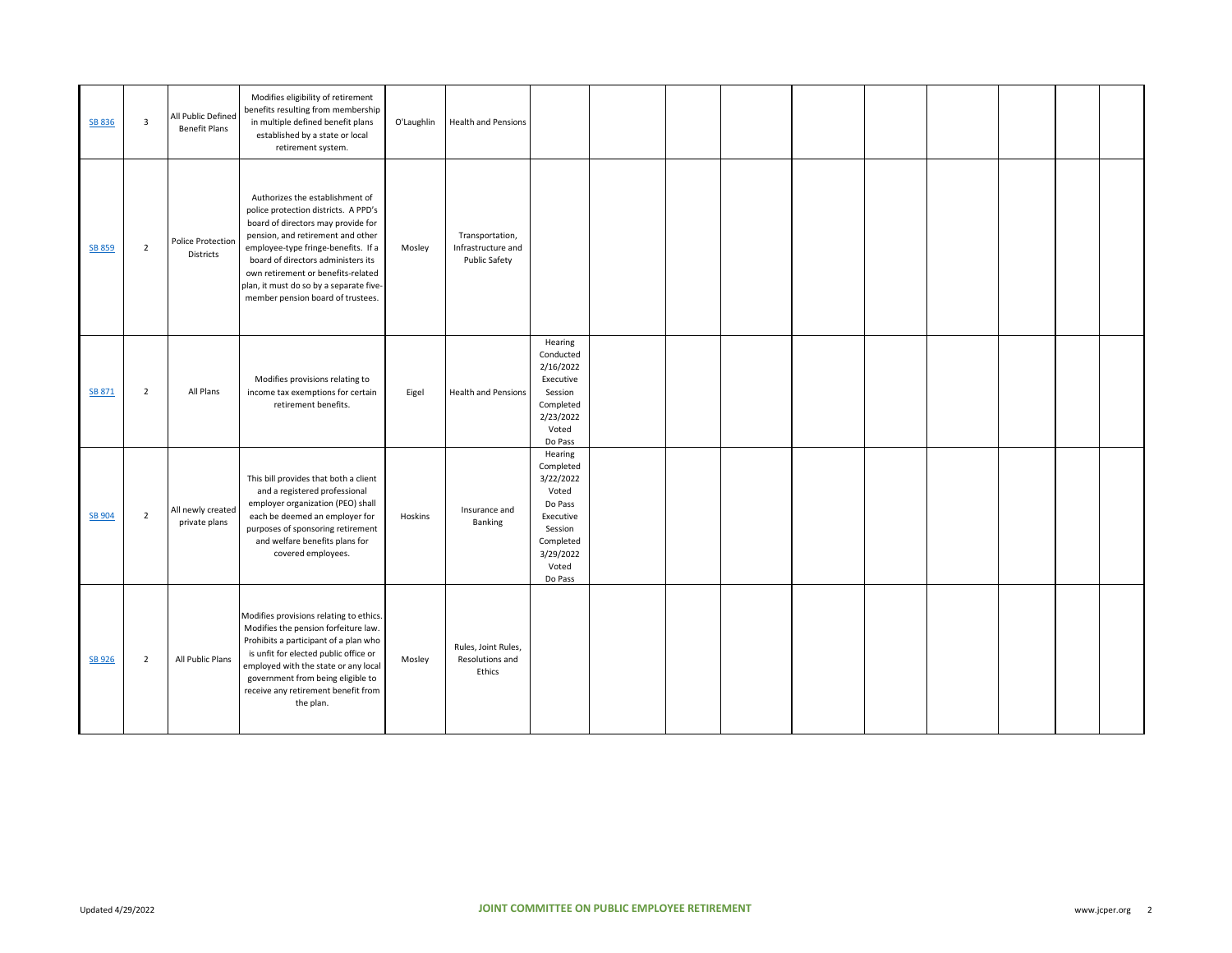| SB 836        | $\overline{\mathbf{3}}$ | All Public Defined<br><b>Benefit Plans</b> | Modifies eligibility of retirement<br>benefits resulting from membership<br>in multiple defined benefit plans<br>established by a state or local<br>retirement system.                                                                                                                                                                                | O'Laughlin | <b>Health and Pensions</b>                             |                                                                                                                             |  |  |  |  |  |
|---------------|-------------------------|--------------------------------------------|-------------------------------------------------------------------------------------------------------------------------------------------------------------------------------------------------------------------------------------------------------------------------------------------------------------------------------------------------------|------------|--------------------------------------------------------|-----------------------------------------------------------------------------------------------------------------------------|--|--|--|--|--|
| <b>SB 859</b> | $\overline{2}$          | Police Protection<br>Districts             | Authorizes the establishment of<br>police protection districts. A PPD's<br>board of directors may provide for<br>pension, and retirement and other<br>employee-type fringe-benefits. If a<br>board of directors administers its<br>own retirement or benefits-related<br>plan, it must do so by a separate five-<br>member pension board of trustees. | Mosley     | Transportation,<br>Infrastructure and<br>Public Safety |                                                                                                                             |  |  |  |  |  |
| SB 871        | $\overline{2}$          | All Plans                                  | Modifies provisions relating to<br>income tax exemptions for certain<br>retirement benefits.                                                                                                                                                                                                                                                          | Eigel      | <b>Health and Pensions</b>                             | Hearing<br>Conducted<br>2/16/2022<br>Executive<br>Session<br>Completed<br>2/23/2022<br>Voted<br>Do Pass                     |  |  |  |  |  |
| SB 904        | $\overline{2}$          | All newly created<br>private plans         | This bill provides that both a client<br>and a registered professional<br>employer organization (PEO) shall<br>each be deemed an employer for<br>purposes of sponsoring retirement<br>and welfare benefits plans for<br>covered employees.                                                                                                            | Hoskins    | Insurance and<br>Banking                               | Hearing<br>Completed<br>3/22/2022<br>Voted<br>Do Pass<br>Executive<br>Session<br>Completed<br>3/29/2022<br>Voted<br>Do Pass |  |  |  |  |  |
| SB 926        | $\overline{2}$          | All Public Plans                           | Modifies provisions relating to ethics.<br>Modifies the pension forfeiture law.<br>Prohibits a participant of a plan who<br>is unfit for elected public office or<br>employed with the state or any local<br>government from being eligible to<br>receive any retirement benefit from<br>the plan.                                                    | Mosley     | Rules, Joint Rules,<br>Resolutions and<br>Ethics       |                                                                                                                             |  |  |  |  |  |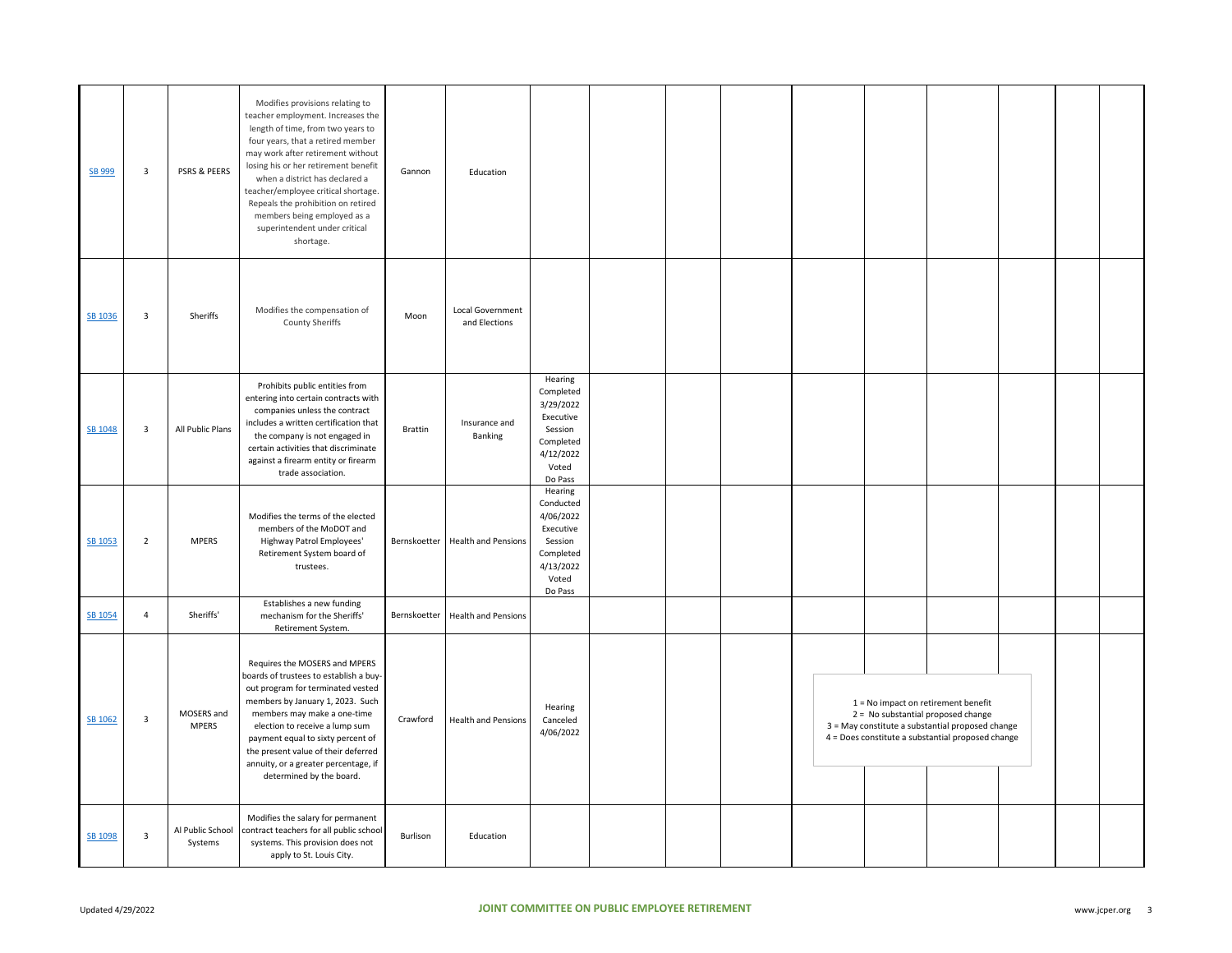| SB 999  | $\overline{\mathbf{3}}$ | PSRS & PEERS                | Modifies provisions relating to<br>teacher employment. Increases the<br>length of time, from two years to<br>four years, that a retired member<br>may work after retirement without<br>losing his or her retirement benefit<br>when a district has declared a<br>teacher/employee critical shortage.<br>Repeals the prohibition on retired<br>members being employed as a<br>superintendent under critical<br>shortage. | Gannon   | Education                         |                                                                                                         |  |  |                                                                                                                                                                                      |  |  |
|---------|-------------------------|-----------------------------|-------------------------------------------------------------------------------------------------------------------------------------------------------------------------------------------------------------------------------------------------------------------------------------------------------------------------------------------------------------------------------------------------------------------------|----------|-----------------------------------|---------------------------------------------------------------------------------------------------------|--|--|--------------------------------------------------------------------------------------------------------------------------------------------------------------------------------------|--|--|
| SB 1036 | $\overline{\mathbf{3}}$ | Sheriffs                    | Modifies the compensation of<br><b>County Sheriffs</b>                                                                                                                                                                                                                                                                                                                                                                  | Moon     | Local Government<br>and Elections |                                                                                                         |  |  |                                                                                                                                                                                      |  |  |
| SB 1048 | $\overline{\mathbf{3}}$ | All Public Plans            | Prohibits public entities from<br>entering into certain contracts with<br>companies unless the contract<br>includes a written certification that<br>the company is not engaged in<br>certain activities that discriminate<br>against a firearm entity or firearm<br>trade association.                                                                                                                                  | Brattin  | Insurance and<br>Banking          | Hearing<br>Completed<br>3/29/2022<br>Executive<br>Session<br>Completed<br>4/12/2022<br>Voted<br>Do Pass |  |  |                                                                                                                                                                                      |  |  |
| SB 1053 | $\overline{2}$          | <b>MPERS</b>                | Modifies the terms of the elected<br>members of the MoDOT and<br>Highway Patrol Employees'<br>Retirement System board of<br>trustees.                                                                                                                                                                                                                                                                                   |          | Bernskoetter Health and Pensions  | Hearing<br>Conducted<br>4/06/2022<br>Executive<br>Session<br>Completed<br>4/13/2022<br>Voted<br>Do Pass |  |  |                                                                                                                                                                                      |  |  |
| SB 1054 | $\overline{4}$          | Sheriffs'                   | Establishes a new funding<br>mechanism for the Sheriffs'<br>Retirement System.                                                                                                                                                                                                                                                                                                                                          |          | Bernskoetter Health and Pensions  |                                                                                                         |  |  |                                                                                                                                                                                      |  |  |
| SB 1062 | $\overline{\mathbf{3}}$ | MOSERS and<br><b>MPERS</b>  | Requires the MOSERS and MPERS<br>boards of trustees to establish a buy-<br>out program for terminated vested<br>members by January 1, 2023. Such<br>members may make a one-time<br>election to receive a lump sum<br>payment equal to sixty percent of<br>the present value of their deferred<br>annuity, or a greater percentage, if<br>determined by the board.                                                       | Crawford | <b>Health and Pensions</b>        | Hearing<br>Canceled<br>4/06/2022                                                                        |  |  | $1 = No$ impact on retirement benefit<br>2 = No substantial proposed change<br>3 = May constitute a substantial proposed change<br>4 = Does constitute a substantial proposed change |  |  |
| SB 1098 | $\overline{\mathbf{3}}$ | Al Public School<br>Systems | Modifies the salary for permanent<br>contract teachers for all public school<br>systems. This provision does not<br>apply to St. Louis City.                                                                                                                                                                                                                                                                            | Burlison | Education                         |                                                                                                         |  |  |                                                                                                                                                                                      |  |  |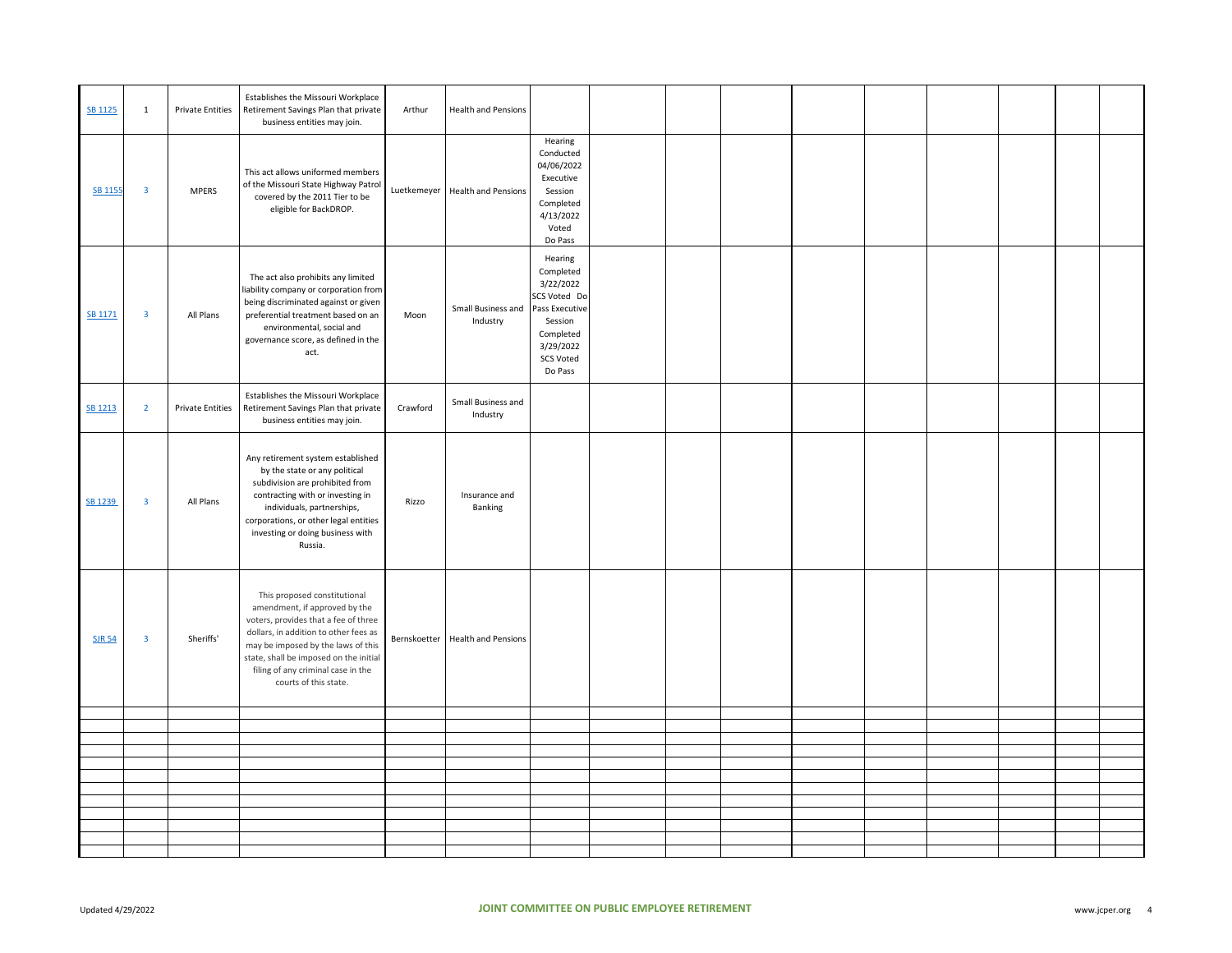| SB 1125        | $\mathbf{1}$            | Private Entities        | Establishes the Missouri Workplace<br>Retirement Savings Plan that private<br>business entities may join.                                                                                                                                                                                     | Arthur   | <b>Health and Pensions</b>         |                                                                                                                                         |  |  |  |  |  |
|----------------|-------------------------|-------------------------|-----------------------------------------------------------------------------------------------------------------------------------------------------------------------------------------------------------------------------------------------------------------------------------------------|----------|------------------------------------|-----------------------------------------------------------------------------------------------------------------------------------------|--|--|--|--|--|
| <b>SB 1155</b> | $\overline{\mathbf{3}}$ | <b>MPERS</b>            | This act allows uniformed members<br>of the Missouri State Highway Patro<br>covered by the 2011 Tier to be<br>eligible for BackDROP.                                                                                                                                                          |          | Luetkemeyer   Health and Pensions  | Hearing<br>Conducted<br>04/06/2022<br>Executive<br>Session<br>Completed<br>4/13/2022<br>Voted<br>Do Pass                                |  |  |  |  |  |
| SB 1171        | $\overline{\mathbf{3}}$ | All Plans               | The act also prohibits any limited<br>liability company or corporation from<br>being discriminated against or given<br>preferential treatment based on an<br>environmental, social and<br>governance score, as defined in the<br>act.                                                         | Moon     | Small Business and<br>Industry     | Hearing<br>Completed<br>3/22/2022<br>SCS Voted Do<br>Pass Executive<br>Session<br>Completed<br>3/29/2022<br><b>SCS Voted</b><br>Do Pass |  |  |  |  |  |
| SB 1213        | $\overline{2}$          | <b>Private Entities</b> | Establishes the Missouri Workplace<br>Retirement Savings Plan that private<br>business entities may join.                                                                                                                                                                                     | Crawford | Small Business and<br>Industry     |                                                                                                                                         |  |  |  |  |  |
| SB 1239        | $\overline{\mathbf{3}}$ | All Plans               | Any retirement system established<br>by the state or any political<br>subdivision are prohibited from<br>contracting with or investing in<br>individuals, partnerships,<br>corporations, or other legal entities<br>investing or doing business with<br>Russia.                               | Rizzo    | Insurance and<br>Banking           |                                                                                                                                         |  |  |  |  |  |
| <b>SJR 54</b>  | $\overline{\mathbf{3}}$ | Sheriffs'               | This proposed constitutional<br>amendment, if approved by the<br>voters, provides that a fee of three<br>dollars, in addition to other fees as<br>may be imposed by the laws of this<br>state, shall be imposed on the initial<br>filing of any criminal case in the<br>courts of this state. |          | Bernskoetter   Health and Pensions |                                                                                                                                         |  |  |  |  |  |
|                |                         |                         |                                                                                                                                                                                                                                                                                               |          |                                    |                                                                                                                                         |  |  |  |  |  |
|                |                         |                         |                                                                                                                                                                                                                                                                                               |          |                                    |                                                                                                                                         |  |  |  |  |  |
|                |                         |                         |                                                                                                                                                                                                                                                                                               |          |                                    |                                                                                                                                         |  |  |  |  |  |
|                |                         |                         |                                                                                                                                                                                                                                                                                               |          |                                    |                                                                                                                                         |  |  |  |  |  |
|                |                         |                         |                                                                                                                                                                                                                                                                                               |          |                                    |                                                                                                                                         |  |  |  |  |  |
|                |                         |                         |                                                                                                                                                                                                                                                                                               |          |                                    |                                                                                                                                         |  |  |  |  |  |
|                |                         |                         |                                                                                                                                                                                                                                                                                               |          |                                    |                                                                                                                                         |  |  |  |  |  |
|                |                         |                         |                                                                                                                                                                                                                                                                                               |          |                                    |                                                                                                                                         |  |  |  |  |  |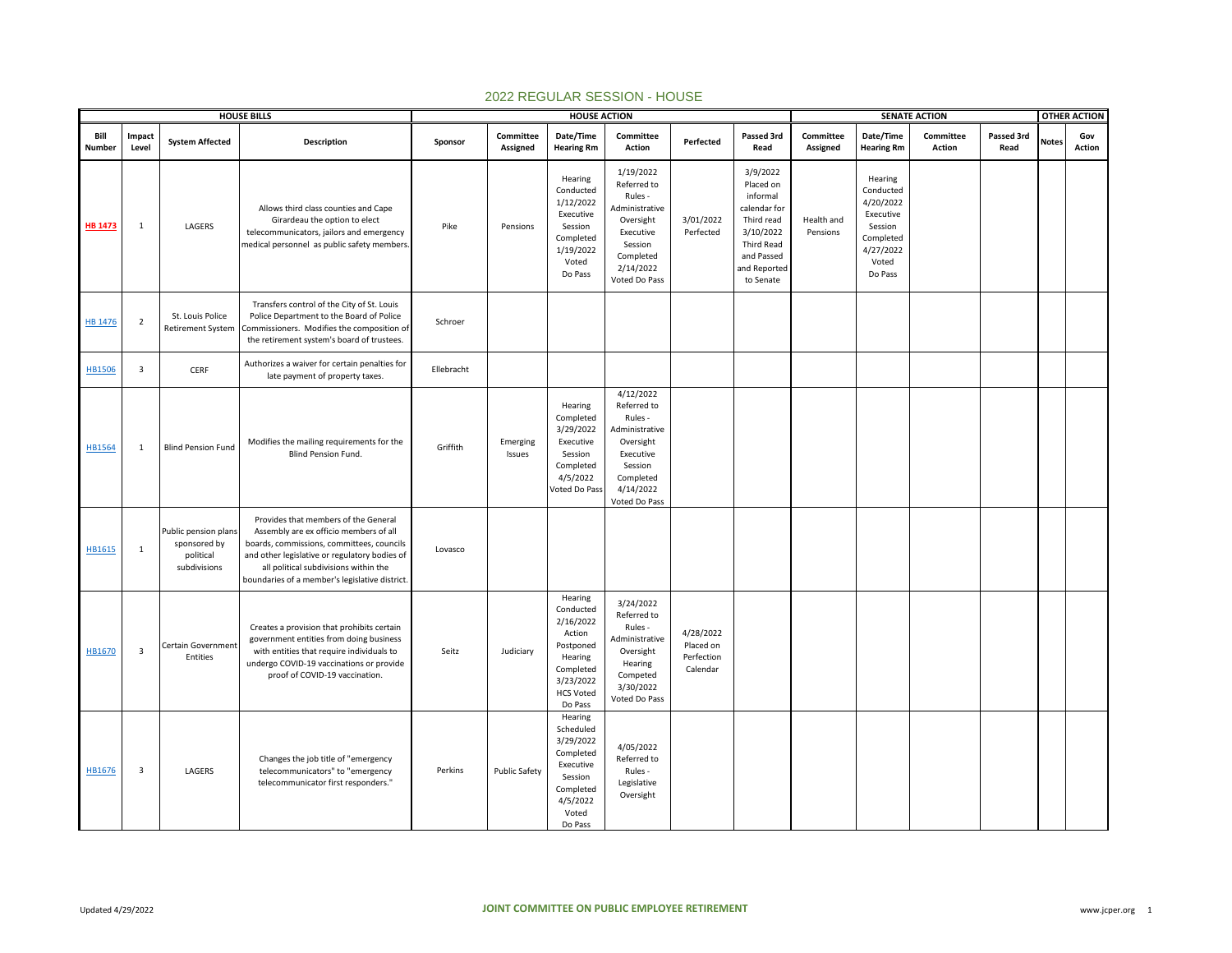|                |                         |                                                                   | <b>HOUSE BILLS</b>                                                                                                                                                                                                                                                      |            |                       | <b>HOUSE ACTION</b>                                                                                                          |                                                                                                                                       |                                                  |                                                                                                                                              |                        |                                                                                                         | <b>SENATE ACTION</b> |                    |              | <b>OTHER ACTION</b> |
|----------------|-------------------------|-------------------------------------------------------------------|-------------------------------------------------------------------------------------------------------------------------------------------------------------------------------------------------------------------------------------------------------------------------|------------|-----------------------|------------------------------------------------------------------------------------------------------------------------------|---------------------------------------------------------------------------------------------------------------------------------------|--------------------------------------------------|----------------------------------------------------------------------------------------------------------------------------------------------|------------------------|---------------------------------------------------------------------------------------------------------|----------------------|--------------------|--------------|---------------------|
| Bill<br>Number | Impact<br>Level         | <b>System Affected</b>                                            | <b>Description</b>                                                                                                                                                                                                                                                      | Sponsor    | Committee<br>Assigned | Date/Time<br><b>Hearing Rm</b>                                                                                               | Committee<br>Action                                                                                                                   | Perfected                                        | Passed 3rd<br>Read                                                                                                                           | Committee<br>Assigned  | Date/Time<br><b>Hearing Rm</b>                                                                          | Committee<br>Action  | Passed 3rd<br>Read | <b>Notes</b> | Gov<br>Action       |
| <b>HB 1473</b> | 1                       | LAGERS                                                            | Allows third class counties and Cape<br>Girardeau the option to elect<br>telecommunicators, jailors and emergency<br>medical personnel as public safety members.                                                                                                        | Pike       | Pensions              | Hearing<br>Conducted<br>1/12/2022<br>Executive<br>Session<br>Completed<br>1/19/2022<br>Voted<br>Do Pass                      | 1/19/2022<br>Referred to<br>Rules -<br>Administrative<br>Oversight<br>Executive<br>Session<br>Completed<br>2/14/2022<br>Voted Do Pass | 3/01/2022<br>Perfected                           | 3/9/2022<br>Placed on<br>informal<br>calendar for<br>Third read<br>3/10/2022<br><b>Third Read</b><br>and Passed<br>and Reported<br>to Senate | Health and<br>Pensions | Hearing<br>Conducted<br>4/20/2022<br>Executive<br>Session<br>Completed<br>4/27/2022<br>Voted<br>Do Pass |                      |                    |              |                     |
| <b>HB 1476</b> | $\overline{2}$          | St. Louis Police<br><b>Retirement System</b>                      | Transfers control of the City of St. Louis<br>Police Department to the Board of Police<br>Commissioners. Modifies the composition of<br>the retirement system's board of trustees.                                                                                      | Schroer    |                       |                                                                                                                              |                                                                                                                                       |                                                  |                                                                                                                                              |                        |                                                                                                         |                      |                    |              |                     |
| HB1506         | $\overline{\mathbf{3}}$ | CERF                                                              | Authorizes a waiver for certain penalties for<br>late payment of property taxes.                                                                                                                                                                                        | Ellebracht |                       |                                                                                                                              |                                                                                                                                       |                                                  |                                                                                                                                              |                        |                                                                                                         |                      |                    |              |                     |
| HB1564         | 1                       | <b>Blind Pension Fund</b>                                         | Modifies the mailing requirements for the<br><b>Blind Pension Fund.</b>                                                                                                                                                                                                 | Griffith   | Emerging<br>Issues    | Hearing<br>Completed<br>3/29/2022<br>Executive<br>Session<br>Completed<br>4/5/2022<br>Voted Do Pass                          | 4/12/2022<br>Referred to<br>Rules -<br>Administrative<br>Oversight<br>Executive<br>Session<br>Completed<br>4/14/2022<br>Voted Do Pass |                                                  |                                                                                                                                              |                        |                                                                                                         |                      |                    |              |                     |
| HB1615         | $\mathbf{1}$            | Public pension plans<br>sponsored by<br>political<br>subdivisions | Provides that members of the General<br>Assembly are ex officio members of all<br>boards, commissions, committees, councils<br>and other legislative or regulatory bodies of<br>all political subdivisions within the<br>boundaries of a member's legislative district. | Lovasco    |                       |                                                                                                                              |                                                                                                                                       |                                                  |                                                                                                                                              |                        |                                                                                                         |                      |                    |              |                     |
| HB1670         | $\overline{\mathbf{3}}$ | Certain Government<br>Entities                                    | Creates a provision that prohibits certain<br>government entities from doing business<br>with entities that require individuals to<br>undergo COVID-19 vaccinations or provide<br>proof of COVID-19 vaccination.                                                        | Seitz      | Judiciary             | Hearing<br>Conducted<br>2/16/2022<br>Action<br>Postponed<br>Hearing<br>Completed<br>3/23/2022<br><b>HCS Voted</b><br>Do Pass | 3/24/2022<br>Referred to<br>Rules -<br>Administrative<br>Oversight<br>Hearing<br>Competed<br>3/30/2022<br>Voted Do Pass               | 4/28/2022<br>Placed on<br>Perfection<br>Calendar |                                                                                                                                              |                        |                                                                                                         |                      |                    |              |                     |
| HB1676         | $\overline{3}$          | LAGERS                                                            | Changes the job title of "emergency<br>telecommunicators" to "emergency<br>telecommunicator first responders."                                                                                                                                                          | Perkins    | <b>Public Safety</b>  | Hearing<br>Scheduled<br>3/29/2022<br>Completed<br>Executive<br>Session<br>Completed<br>4/5/2022<br>Voted<br>Do Pass          | 4/05/2022<br>Referred to<br>Rules -<br>Legislative<br>Oversight                                                                       |                                                  |                                                                                                                                              |                        |                                                                                                         |                      |                    |              |                     |

## 2022 REGULAR SESSION - HOUSE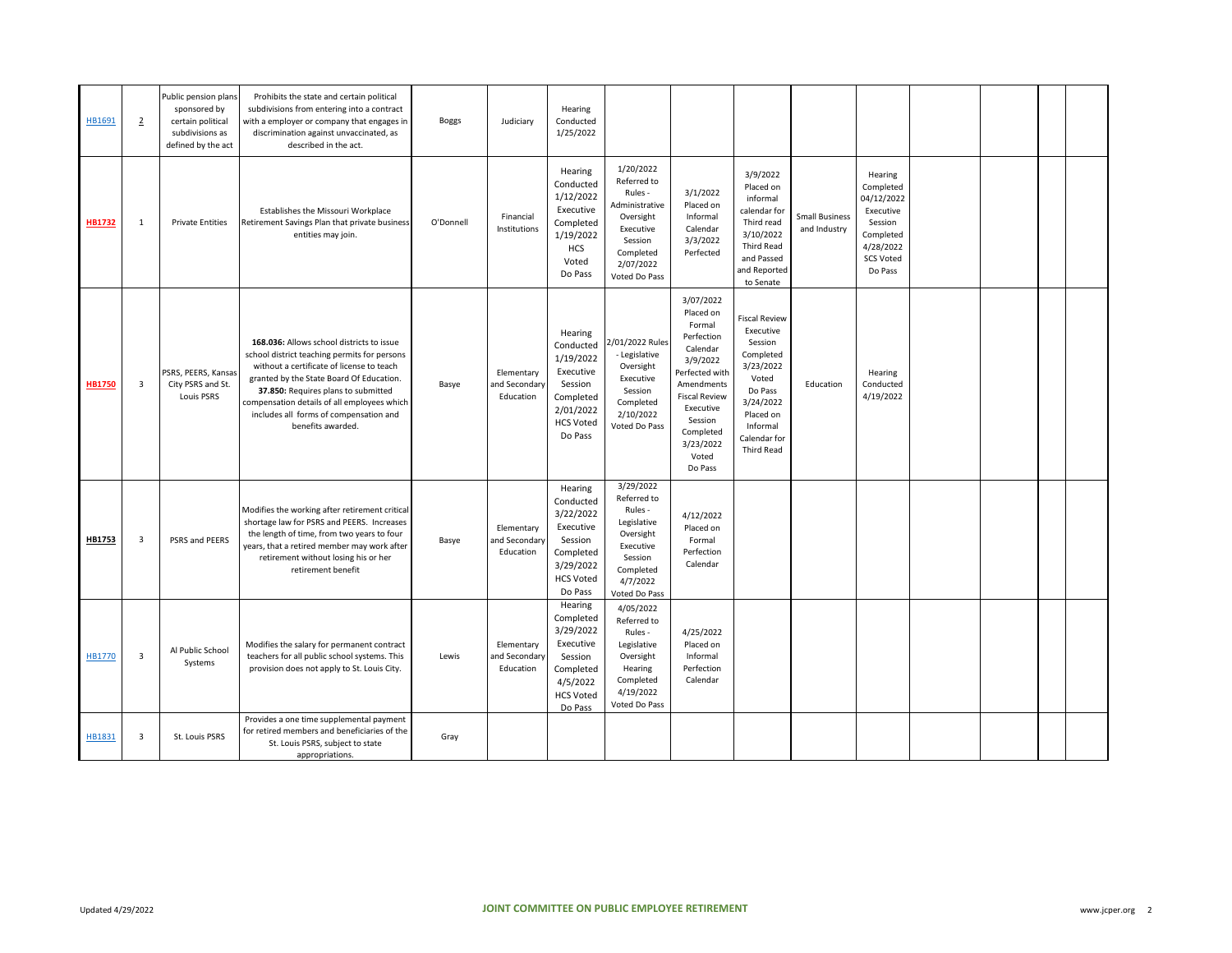| HB1691        | $\overline{2}$          | Public pension plans<br>sponsored by<br>certain political<br>subdivisions as<br>defined by the act | Prohibits the state and certain political<br>subdivisions from entering into a contract<br>with a employer or company that engages in<br>discrimination against unvaccinated, as<br>described in the act.                                                                                                                               | <b>Boggs</b> | Judiciary                                | Hearing<br>Conducted<br>1/25/2022                                                                                  |                                                                                                                                       |                                                                                                                                                                                                      |                                                                                                                                                                       |                                       |                                                                                                                     |  |  |
|---------------|-------------------------|----------------------------------------------------------------------------------------------------|-----------------------------------------------------------------------------------------------------------------------------------------------------------------------------------------------------------------------------------------------------------------------------------------------------------------------------------------|--------------|------------------------------------------|--------------------------------------------------------------------------------------------------------------------|---------------------------------------------------------------------------------------------------------------------------------------|------------------------------------------------------------------------------------------------------------------------------------------------------------------------------------------------------|-----------------------------------------------------------------------------------------------------------------------------------------------------------------------|---------------------------------------|---------------------------------------------------------------------------------------------------------------------|--|--|
| <b>HB1732</b> | $\mathbf{1}$            | <b>Private Entities</b>                                                                            | Establishes the Missouri Workplace<br>Retirement Savings Plan that private business<br>entities may join.                                                                                                                                                                                                                               | O'Donnell    | Financial<br>Institutions                | Hearing<br>Conducted<br>1/12/2022<br>Executive<br>Completed<br>1/19/2022<br><b>HCS</b><br>Voted<br>Do Pass         | 1/20/2022<br>Referred to<br>Rules -<br>Administrative<br>Oversight<br>Executive<br>Session<br>Completed<br>2/07/2022<br>Voted Do Pass | 3/1/2022<br>Placed on<br>Informal<br>Calendar<br>3/3/2022<br>Perfected                                                                                                                               | 3/9/2022<br>Placed on<br>informal<br>calendar for<br>Third read<br>3/10/2022<br><b>Third Read</b><br>and Passed<br>and Reported<br>to Senate                          | <b>Small Business</b><br>and Industry | Hearing<br>Completed<br>04/12/2022<br>Executive<br>Session<br>Completed<br>4/28/2022<br><b>SCS Voted</b><br>Do Pass |  |  |
| <b>HB1750</b> | 3                       | PSRS, PEERS, Kansas<br>City PSRS and St.<br>Louis PSRS                                             | 168.036: Allows school districts to issue<br>school district teaching permits for persons<br>without a certificate of license to teach<br>granted by the State Board Of Education.<br>37.850: Requires plans to submitted<br>compensation details of all employees which<br>includes all forms of compensation and<br>benefits awarded. | Basye        | Elementary<br>and Secondary<br>Education | Hearing<br>Conducted<br>1/19/2022<br>Executive<br>Session<br>Completed<br>2/01/2022<br><b>HCS Voted</b><br>Do Pass | 2/01/2022 Rules<br>- Legislative<br>Oversight<br>Executive<br>Session<br>Completed<br>2/10/2022<br>Voted Do Pass                      | 3/07/2022<br>Placed on<br>Formal<br>Perfection<br>Calendar<br>3/9/2022<br>Perfected with<br>Amendments<br><b>Fiscal Review</b><br>Executive<br>Session<br>Completed<br>3/23/2022<br>Voted<br>Do Pass | <b>Fiscal Review</b><br>Executive<br>Session<br>Completed<br>3/23/2022<br>Voted<br>Do Pass<br>3/24/2022<br>Placed on<br>Informal<br>Calendar for<br><b>Third Read</b> | Education                             | Hearing<br>Conducted<br>4/19/2022                                                                                   |  |  |
| HB1753        | $\overline{\mathbf{3}}$ | PSRS and PEERS                                                                                     | Modifies the working after retirement critical<br>shortage law for PSRS and PEERS. Increases<br>the length of time, from two years to four<br>years, that a retired member may work after<br>retirement without losing his or her<br>retirement benefit                                                                                 | Basye        | Elementary<br>and Secondary<br>Education | Hearing<br>Conducted<br>3/22/2022<br>Executive<br>Session<br>Completed<br>3/29/2022<br><b>HCS Voted</b><br>Do Pass | 3/29/2022<br>Referred to<br>Rules -<br>Legislative<br>Oversight<br>Executive<br>Session<br>Completed<br>4/7/2022<br>Voted Do Pass     | 4/12/2022<br>Placed on<br>Formal<br>Perfection<br>Calendar                                                                                                                                           |                                                                                                                                                                       |                                       |                                                                                                                     |  |  |
| HB1770        | $\overline{\mathbf{3}}$ | Al Public School<br>Systems                                                                        | Modifies the salary for permanent contract<br>teachers for all public school systems. This<br>provision does not apply to St. Louis City.                                                                                                                                                                                               | Lewis        | Elementary<br>and Secondary<br>Education | Hearing<br>Completed<br>3/29/2022<br>Executive<br>Session<br>Completed<br>4/5/2022<br><b>HCS Voted</b><br>Do Pass  | 4/05/2022<br>Referred to<br>Rules -<br>Legislative<br>Oversight<br>Hearing<br>Completed<br>4/19/2022<br>Voted Do Pass                 | 4/25/2022<br>Placed on<br>Informal<br>Perfection<br>Calendar                                                                                                                                         |                                                                                                                                                                       |                                       |                                                                                                                     |  |  |
| HB1831        | $\overline{\mathbf{3}}$ | St. Louis PSRS                                                                                     | Provides a one time supplemental payment<br>for retired members and beneficiaries of the<br>St. Louis PSRS, subject to state<br>appropriations.                                                                                                                                                                                         | Gray         |                                          |                                                                                                                    |                                                                                                                                       |                                                                                                                                                                                                      |                                                                                                                                                                       |                                       |                                                                                                                     |  |  |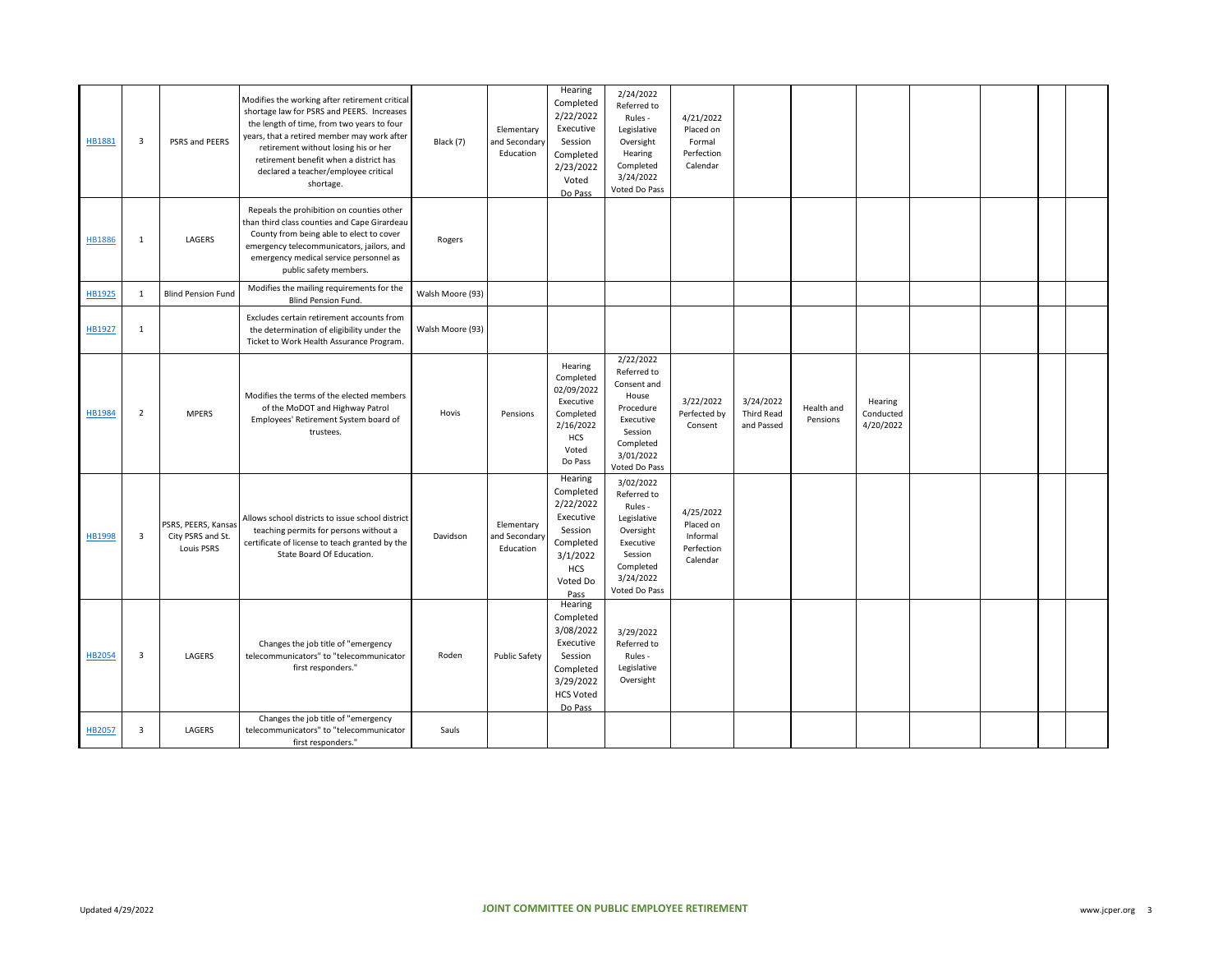| HB1881        | $\overline{\mathbf{3}}$ | PSRS and PEERS                                         | Modifies the working after retirement critical<br>shortage law for PSRS and PEERS. Increases<br>the length of time, from two years to four<br>years, that a retired member may work after<br>retirement without losing his or her<br>retirement benefit when a district has<br>declared a teacher/employee critical<br>shortage. | Black (7)        | Elementary<br>and Secondary<br>Education | Hearing<br>Completed<br>2/22/2022<br>Executive<br>Session<br>Completed<br>2/23/2022<br>Voted<br>Do Pass              | 2/24/2022<br>Referred to<br>Rules -<br>Legislative<br>Oversight<br>Hearing<br>Completed<br>3/24/2022<br>Voted Do Pass              | 4/21/2022<br>Placed on<br>Formal<br>Perfection<br>Calendar   |                                       |                        |                                   |  |  |
|---------------|-------------------------|--------------------------------------------------------|----------------------------------------------------------------------------------------------------------------------------------------------------------------------------------------------------------------------------------------------------------------------------------------------------------------------------------|------------------|------------------------------------------|----------------------------------------------------------------------------------------------------------------------|------------------------------------------------------------------------------------------------------------------------------------|--------------------------------------------------------------|---------------------------------------|------------------------|-----------------------------------|--|--|
| <b>HB1886</b> | $\mathbf{1}$            | LAGERS                                                 | Repeals the prohibition on counties other<br>than third class counties and Cape Girardeau<br>County from being able to elect to cover<br>emergency telecommunicators, jailors, and<br>emergency medical service personnel as<br>public safety members.                                                                           | Rogers           |                                          |                                                                                                                      |                                                                                                                                    |                                                              |                                       |                        |                                   |  |  |
| HB1925        | 1                       | <b>Blind Pension Fund</b>                              | Modifies the mailing requirements for the<br>Blind Pension Fund.                                                                                                                                                                                                                                                                 | Walsh Moore (93) |                                          |                                                                                                                      |                                                                                                                                    |                                                              |                                       |                        |                                   |  |  |
| HB1927        | $\mathbf{1}$            |                                                        | Excludes certain retirement accounts from<br>the determination of eligibility under the<br>Ticket to Work Health Assurance Program.                                                                                                                                                                                              | Walsh Moore (93) |                                          |                                                                                                                      |                                                                                                                                    |                                                              |                                       |                        |                                   |  |  |
| HB1984        | $\overline{2}$          | <b>MPERS</b>                                           | Modifies the terms of the elected members<br>of the MoDOT and Highway Patrol<br>Employees' Retirement System board of<br>trustees.                                                                                                                                                                                               | Hovis            | Pensions                                 | Hearing<br>Completed<br>02/09/2022<br>Executive<br>Completed<br>2/16/2022<br>HCS<br>Voted<br>Do Pass                 | 2/22/2022<br>Referred to<br>Consent and<br>House<br>Procedure<br>Executive<br>Session<br>Completed<br>3/01/2022<br>Voted Do Pass   | 3/22/2022<br>Perfected by<br>Consent                         | 3/24/2022<br>Third Read<br>and Passed | Health and<br>Pensions | Hearing<br>Conducted<br>4/20/2022 |  |  |
| HB1998        | 3                       | PSRS, PEERS, Kansas<br>City PSRS and St.<br>Louis PSRS | Allows school districts to issue school district<br>teaching permits for persons without a<br>certificate of license to teach granted by the<br>State Board Of Education.                                                                                                                                                        | Davidson         | Elementary<br>and Secondary<br>Education | Hearing<br>Completed<br>2/22/2022<br>Executive<br>Session<br>Completed<br>3/1/2022<br><b>HCS</b><br>Voted Do<br>Pass | 3/02/2022<br>Referred to<br>Rules -<br>Legislative<br>Oversight<br>Executive<br>Session<br>Completed<br>3/24/2022<br>Voted Do Pass | 4/25/2022<br>Placed on<br>Informal<br>Perfection<br>Calendar |                                       |                        |                                   |  |  |
| HB2054        | $\overline{\mathbf{3}}$ | LAGERS                                                 | Changes the job title of "emergency<br>telecommunicators" to "telecommunicator<br>first responders."                                                                                                                                                                                                                             | Roden            | <b>Public Safety</b>                     | Hearing<br>Completed<br>3/08/2022<br>Executive<br>Session<br>Completed<br>3/29/2022<br><b>HCS Voted</b><br>Do Pass   | 3/29/2022<br>Referred to<br>Rules -<br>Legislative<br>Oversight                                                                    |                                                              |                                       |                        |                                   |  |  |
| <b>HB2057</b> | $\overline{\mathbf{3}}$ | LAGERS                                                 | Changes the job title of "emergency<br>telecommunicators" to "telecommunicator<br>first responders."                                                                                                                                                                                                                             | Sauls            |                                          |                                                                                                                      |                                                                                                                                    |                                                              |                                       |                        |                                   |  |  |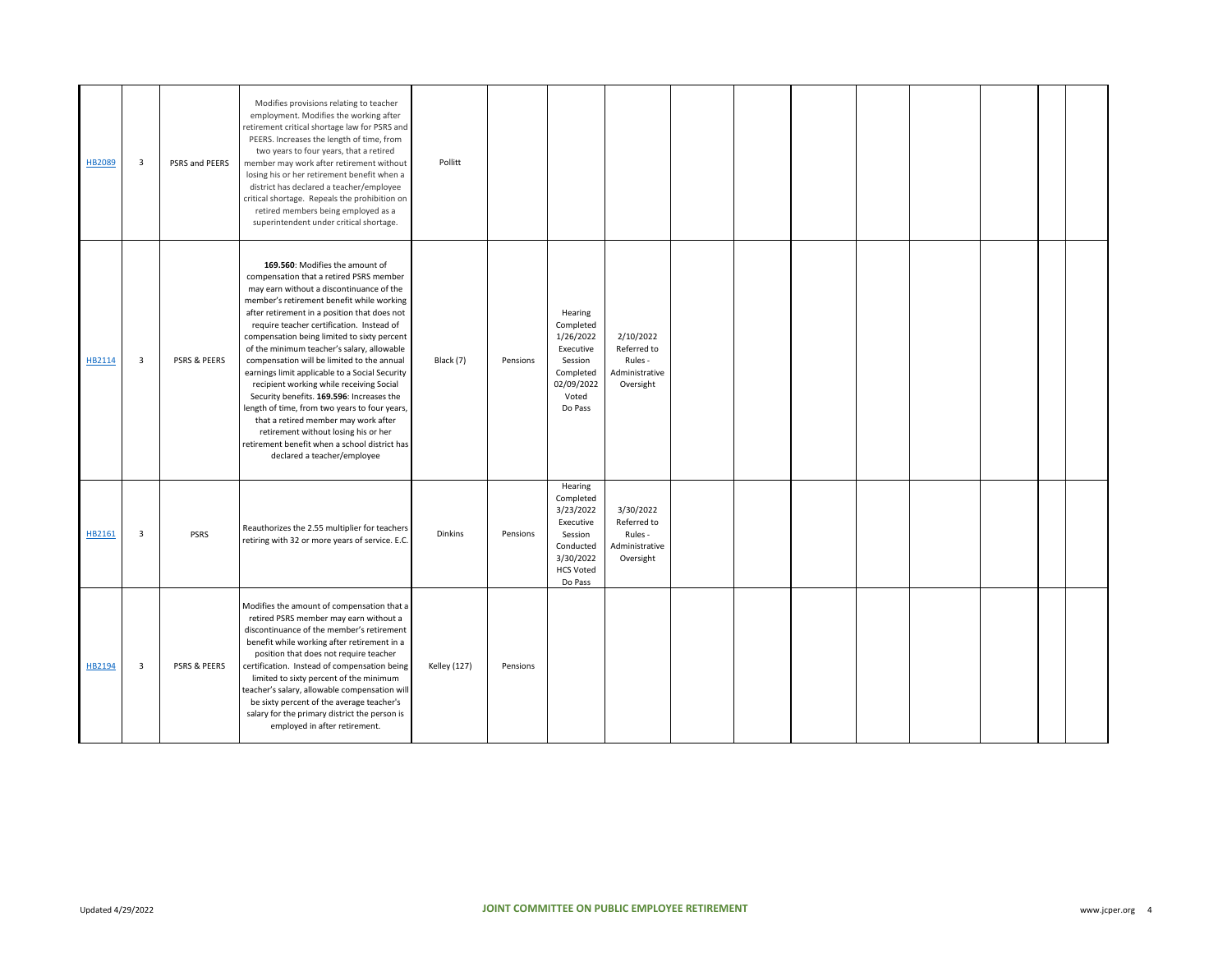| <b>HB2089</b> | 3 | PSRS and PEERS | Modifies provisions relating to teacher<br>employment. Modifies the working after<br>retirement critical shortage law for PSRS and<br>PEERS. Increases the length of time, from<br>two years to four years, that a retired<br>member may work after retirement without<br>losing his or her retirement benefit when a<br>district has declared a teacher/employee<br>critical shortage. Repeals the prohibition on<br>retired members being employed as a<br>superintendent under critical shortage.                                                                                                                                                                                                                                                                    | Pollitt             |          |                                                                                                                    |                                                                    |  |  |  |  |
|---------------|---|----------------|-------------------------------------------------------------------------------------------------------------------------------------------------------------------------------------------------------------------------------------------------------------------------------------------------------------------------------------------------------------------------------------------------------------------------------------------------------------------------------------------------------------------------------------------------------------------------------------------------------------------------------------------------------------------------------------------------------------------------------------------------------------------------|---------------------|----------|--------------------------------------------------------------------------------------------------------------------|--------------------------------------------------------------------|--|--|--|--|
| HB2114        | 3 | PSRS & PEERS   | 169.560: Modifies the amount of<br>compensation that a retired PSRS member<br>may earn without a discontinuance of the<br>member's retirement benefit while working<br>after retirement in a position that does not<br>require teacher certification. Instead of<br>compensation being limited to sixty percent<br>of the minimum teacher's salary, allowable<br>compensation will be limited to the annual<br>earnings limit applicable to a Social Security<br>recipient working while receiving Social<br>Security benefits. 169.596: Increases the<br>length of time, from two years to four years,<br>that a retired member may work after<br>retirement without losing his or her<br>retirement benefit when a school district has<br>declared a teacher/employee | Black (7)           | Pensions | Hearing<br>Completed<br>1/26/2022<br>Executive<br>Session<br>Completed<br>02/09/2022<br>Voted<br>Do Pass           | 2/10/2022<br>Referred to<br>Rules -<br>Administrative<br>Oversight |  |  |  |  |
| HB2161        | 3 | <b>PSRS</b>    | Reauthorizes the 2.55 multiplier for teachers<br>retiring with 32 or more years of service. E.C.                                                                                                                                                                                                                                                                                                                                                                                                                                                                                                                                                                                                                                                                        | <b>Dinkins</b>      | Pensions | Hearing<br>Completed<br>3/23/2022<br>Executive<br>Session<br>Conducted<br>3/30/2022<br><b>HCS Voted</b><br>Do Pass | 3/30/2022<br>Referred to<br>Rules -<br>Administrative<br>Oversight |  |  |  |  |
| HB2194        | 3 | PSRS & PEERS   | Modifies the amount of compensation that a<br>retired PSRS member may earn without a<br>discontinuance of the member's retirement<br>benefit while working after retirement in a<br>position that does not require teacher<br>certification. Instead of compensation being<br>limited to sixty percent of the minimum<br>teacher's salary, allowable compensation will<br>be sixty percent of the average teacher's<br>salary for the primary district the person is<br>employed in after retirement.                                                                                                                                                                                                                                                                   | <b>Kelley (127)</b> | Pensions |                                                                                                                    |                                                                    |  |  |  |  |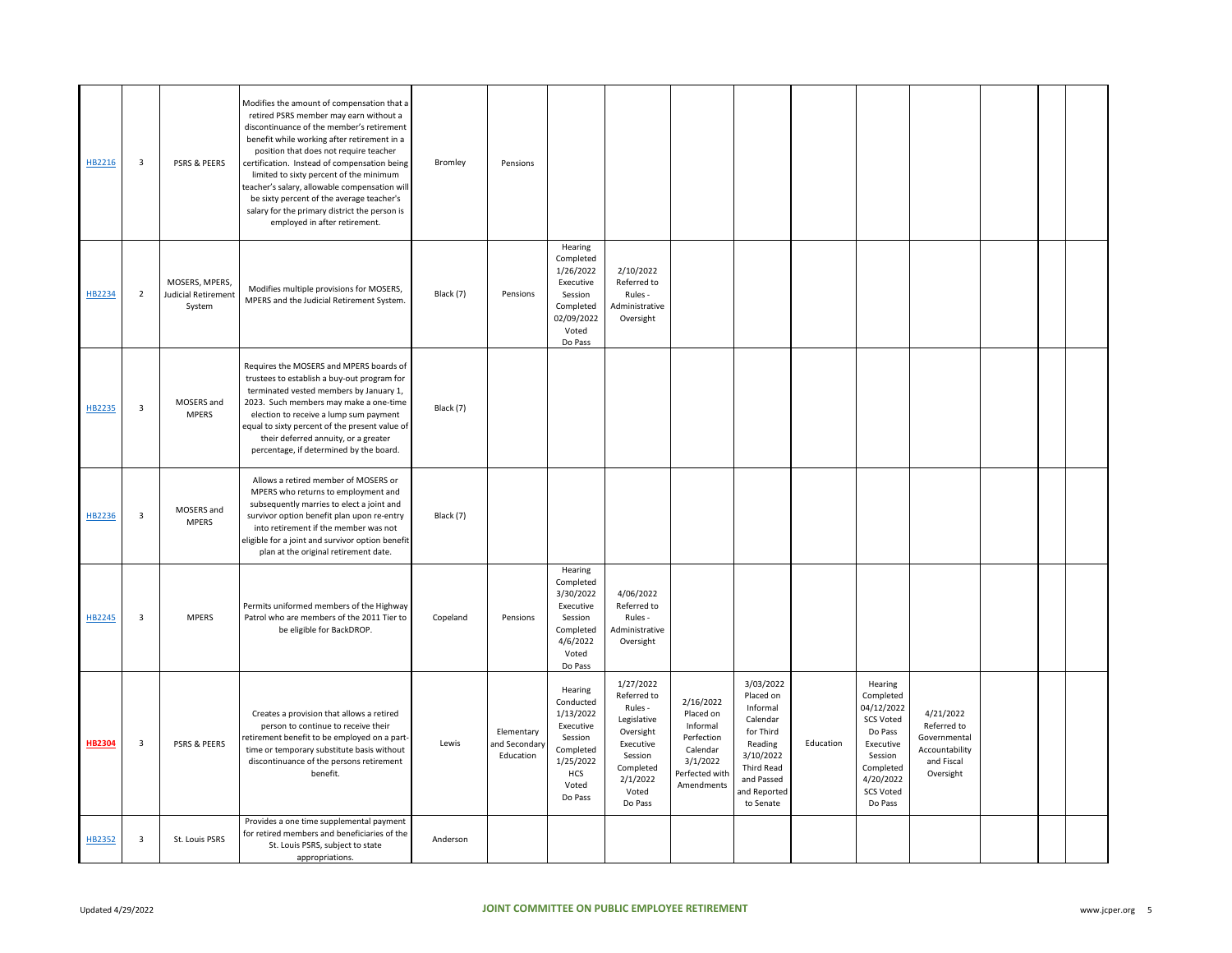| HB2216        | 3              | PSRS & PEERS                                    | Modifies the amount of compensation that a<br>retired PSRS member may earn without a<br>discontinuance of the member's retirement<br>benefit while working after retirement in a<br>position that does not require teacher<br>certification. Instead of compensation being<br>limited to sixty percent of the minimum<br>teacher's salary, allowable compensation will<br>be sixty percent of the average teacher's<br>salary for the primary district the person is<br>employed in after retirement. | Bromley   | Pensions                                 |                                                                                                                       |                                                                                                                                      |                                                                                                          |                                                                                                                                              |           |                                                                                                                                                    |                                                                                       |  |  |
|---------------|----------------|-------------------------------------------------|-------------------------------------------------------------------------------------------------------------------------------------------------------------------------------------------------------------------------------------------------------------------------------------------------------------------------------------------------------------------------------------------------------------------------------------------------------------------------------------------------------|-----------|------------------------------------------|-----------------------------------------------------------------------------------------------------------------------|--------------------------------------------------------------------------------------------------------------------------------------|----------------------------------------------------------------------------------------------------------|----------------------------------------------------------------------------------------------------------------------------------------------|-----------|----------------------------------------------------------------------------------------------------------------------------------------------------|---------------------------------------------------------------------------------------|--|--|
| HB2234        | $\overline{2}$ | MOSERS, MPERS,<br>Judicial Retirement<br>System | Modifies multiple provisions for MOSERS,<br>MPERS and the Judicial Retirement System.                                                                                                                                                                                                                                                                                                                                                                                                                 | Black (7) | Pensions                                 | Hearing<br>Completed<br>1/26/2022<br>Executive<br>Session<br>Completed<br>02/09/2022<br>Voted<br>Do Pass              | 2/10/2022<br>Referred to<br>Rules -<br>Administrative<br>Oversight                                                                   |                                                                                                          |                                                                                                                                              |           |                                                                                                                                                    |                                                                                       |  |  |
| HB2235        | 3              | MOSERS and<br><b>MPERS</b>                      | Requires the MOSERS and MPERS boards of<br>trustees to establish a buy-out program for<br>terminated vested members by January 1,<br>2023. Such members may make a one-time<br>election to receive a lump sum payment<br>equal to sixty percent of the present value of<br>their deferred annuity, or a greater<br>percentage, if determined by the board.                                                                                                                                            | Black (7) |                                          |                                                                                                                       |                                                                                                                                      |                                                                                                          |                                                                                                                                              |           |                                                                                                                                                    |                                                                                       |  |  |
| HB2236        | $\mathbf{3}$   | MOSERS and<br><b>MPERS</b>                      | Allows a retired member of MOSERS or<br>MPERS who returns to employment and<br>subsequently marries to elect a joint and<br>survivor option benefit plan upon re-entry<br>into retirement if the member was not<br>eligible for a joint and survivor option benefit<br>plan at the original retirement date.                                                                                                                                                                                          | Black (7) |                                          |                                                                                                                       |                                                                                                                                      |                                                                                                          |                                                                                                                                              |           |                                                                                                                                                    |                                                                                       |  |  |
| HB2245        | 3              | <b>MPERS</b>                                    | Permits uniformed members of the Highway<br>Patrol who are members of the 2011 Tier to<br>be eligible for BackDROP.                                                                                                                                                                                                                                                                                                                                                                                   | Copeland  | Pensions                                 | Hearing<br>Completed<br>3/30/2022<br>Executive<br>Session<br>Completed<br>4/6/2022<br>Voted<br>Do Pass                | 4/06/2022<br>Referred to<br>Rules -<br>Administrative<br>Oversight                                                                   |                                                                                                          |                                                                                                                                              |           |                                                                                                                                                    |                                                                                       |  |  |
| <b>HB2304</b> | 3              | <b>PSRS &amp; PEERS</b>                         | Creates a provision that allows a retired<br>person to continue to receive their<br>retirement benefit to be employed on a part-<br>time or temporary substitute basis without<br>discontinuance of the persons retirement<br>benefit.                                                                                                                                                                                                                                                                | Lewis     | Elementary<br>and Secondary<br>Education | Hearing<br>Conducted<br>1/13/2022<br>Executive<br>Session<br>Completed<br>1/25/2022<br><b>HCS</b><br>Voted<br>Do Pass | 1/27/2022<br>Referred to<br>Rules -<br>Legislative<br>Oversight<br>Executive<br>Session<br>Completed<br>2/1/2022<br>Voted<br>Do Pass | 2/16/2022<br>Placed on<br>Informal<br>Perfection<br>Calendar<br>3/1/2022<br>Perfected with<br>Amendments | 3/03/2022<br>Placed on<br>Informal<br>Calendar<br>for Third<br>Reading<br>3/10/2022<br>Third Read<br>and Passed<br>and Reported<br>to Senate | Education | Hearing<br>Completed<br>04/12/2022<br><b>SCS Voted</b><br>Do Pass<br>Executive<br>Session<br>Completed<br>4/20/2022<br><b>SCS Voted</b><br>Do Pass | 4/21/2022<br>Referred to<br>Governmental<br>Accountability<br>and Fiscal<br>Oversight |  |  |
| HB2352        | $\mathbf{3}$   | St. Louis PSRS                                  | Provides a one time supplemental payment<br>for retired members and beneficiaries of the<br>St. Louis PSRS, subject to state<br>appropriations.                                                                                                                                                                                                                                                                                                                                                       | Anderson  |                                          |                                                                                                                       |                                                                                                                                      |                                                                                                          |                                                                                                                                              |           |                                                                                                                                                    |                                                                                       |  |  |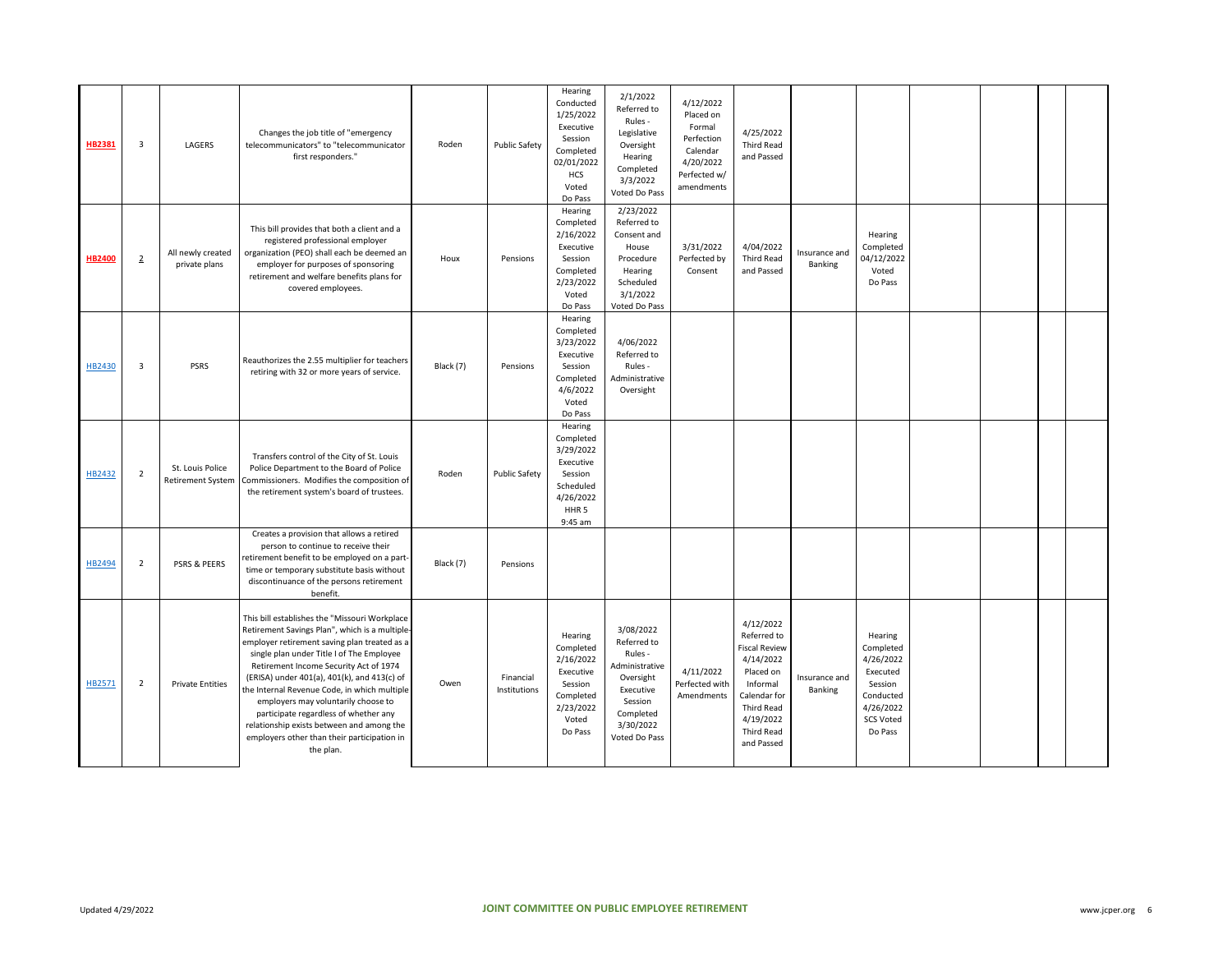| HB2381        | $\overline{3}$ | LAGERS                                       | Changes the job title of "emergency<br>telecommunicators" to "telecommunicator<br>first responders."                                                                                                                                                                                                                                                                                                                                                                                                                           | Roden     | <b>Public Safety</b>      | Hearing<br>Conducted<br>1/25/2022<br>Executive<br>Session<br>Completed<br>02/01/2022<br>HCS<br>Voted<br>Do Pass    | 2/1/2022<br>Referred to<br>Rules -<br>Legislative<br>Oversight<br>Hearing<br>Completed<br>3/3/2022<br>Voted Do Pass                   | 4/12/2022<br>Placed on<br>Formal<br>Perfection<br>Calendar<br>4/20/2022<br>Perfected w/<br>amendments | 4/25/2022<br><b>Third Read</b><br>and Passed                                                                                                                  |                          |                                                                                                                   |  |  |
|---------------|----------------|----------------------------------------------|--------------------------------------------------------------------------------------------------------------------------------------------------------------------------------------------------------------------------------------------------------------------------------------------------------------------------------------------------------------------------------------------------------------------------------------------------------------------------------------------------------------------------------|-----------|---------------------------|--------------------------------------------------------------------------------------------------------------------|---------------------------------------------------------------------------------------------------------------------------------------|-------------------------------------------------------------------------------------------------------|---------------------------------------------------------------------------------------------------------------------------------------------------------------|--------------------------|-------------------------------------------------------------------------------------------------------------------|--|--|
| <b>HB2400</b> | $\overline{2}$ | All newly created<br>private plans           | This bill provides that both a client and a<br>registered professional employer<br>organization (PEO) shall each be deemed an<br>employer for purposes of sponsoring<br>retirement and welfare benefits plans for<br>covered employees.                                                                                                                                                                                                                                                                                        | Houx      | Pensions                  | Hearing<br>Completed<br>2/16/2022<br>Executive<br>Session<br>Completed<br>2/23/2022<br>Voted<br>Do Pass            | 2/23/2022<br>Referred to<br>Consent and<br>House<br>Procedure<br>Hearing<br>Scheduled<br>3/1/2022<br>Voted Do Pass                    | 3/31/2022<br>Perfected by<br>Consent                                                                  | 4/04/2022<br>Third Read<br>and Passed                                                                                                                         | Insurance and<br>Banking | Hearing<br>Completed<br>04/12/2022<br>Voted<br>Do Pass                                                            |  |  |
| HB2430        | 3              | PSRS                                         | Reauthorizes the 2.55 multiplier for teachers<br>retiring with 32 or more years of service.                                                                                                                                                                                                                                                                                                                                                                                                                                    | Black (7) | Pensions                  | Hearing<br>Completed<br>3/23/2022<br>Executive<br>Session<br>Completed<br>4/6/2022<br>Voted<br>Do Pass             | 4/06/2022<br>Referred to<br>Rules -<br>Administrative<br>Oversight                                                                    |                                                                                                       |                                                                                                                                                               |                          |                                                                                                                   |  |  |
| HB2432        | $\overline{2}$ | St. Louis Police<br><b>Retirement System</b> | Transfers control of the City of St. Louis<br>Police Department to the Board of Police<br>Commissioners. Modifies the composition of<br>the retirement system's board of trustees.                                                                                                                                                                                                                                                                                                                                             | Roden     | <b>Public Safety</b>      | Hearing<br>Completed<br>3/29/2022<br>Executive<br>Session<br>Scheduled<br>4/26/2022<br>HHR <sub>5</sub><br>9:45 am |                                                                                                                                       |                                                                                                       |                                                                                                                                                               |                          |                                                                                                                   |  |  |
| HB2494        | $\overline{2}$ | PSRS & PEERS                                 | Creates a provision that allows a retired<br>person to continue to receive their<br>retirement benefit to be employed on a part-<br>time or temporary substitute basis without<br>discontinuance of the persons retirement<br>benefit.                                                                                                                                                                                                                                                                                         | Black (7) | Pensions                  |                                                                                                                    |                                                                                                                                       |                                                                                                       |                                                                                                                                                               |                          |                                                                                                                   |  |  |
| HB2571        | $\overline{2}$ | <b>Private Entities</b>                      | This bill establishes the "Missouri Workplace<br>Retirement Savings Plan", which is a multiple-<br>employer retirement saving plan treated as a<br>single plan under Title I of The Employee<br>Retirement Income Security Act of 1974<br>(ERISA) under 401(a), 401(k), and 413(c) of<br>the Internal Revenue Code, in which multiple<br>employers may voluntarily choose to<br>participate regardless of whether any<br>relationship exists between and among the<br>employers other than their participation in<br>the plan. | Owen      | Financial<br>Institutions | Hearing<br>Completed<br>2/16/2022<br>Executive<br>Session<br>Completed<br>2/23/2022<br>Voted<br>Do Pass            | 3/08/2022<br>Referred to<br>Rules -<br>Administrative<br>Oversight<br>Executive<br>Session<br>Completed<br>3/30/2022<br>Voted Do Pass | 4/11/2022<br>Perfected with<br>Amendments                                                             | 4/12/2022<br>Referred to<br><b>Fiscal Review</b><br>4/14/2022<br>Placed on<br>Informal<br>Calendar for<br>Third Read<br>4/19/2022<br>Third Read<br>and Passed | Insurance and<br>Banking | Hearing<br>Completed<br>4/26/2022<br>Executed<br>Session<br>Conducted<br>4/26/2022<br><b>SCS Voted</b><br>Do Pass |  |  |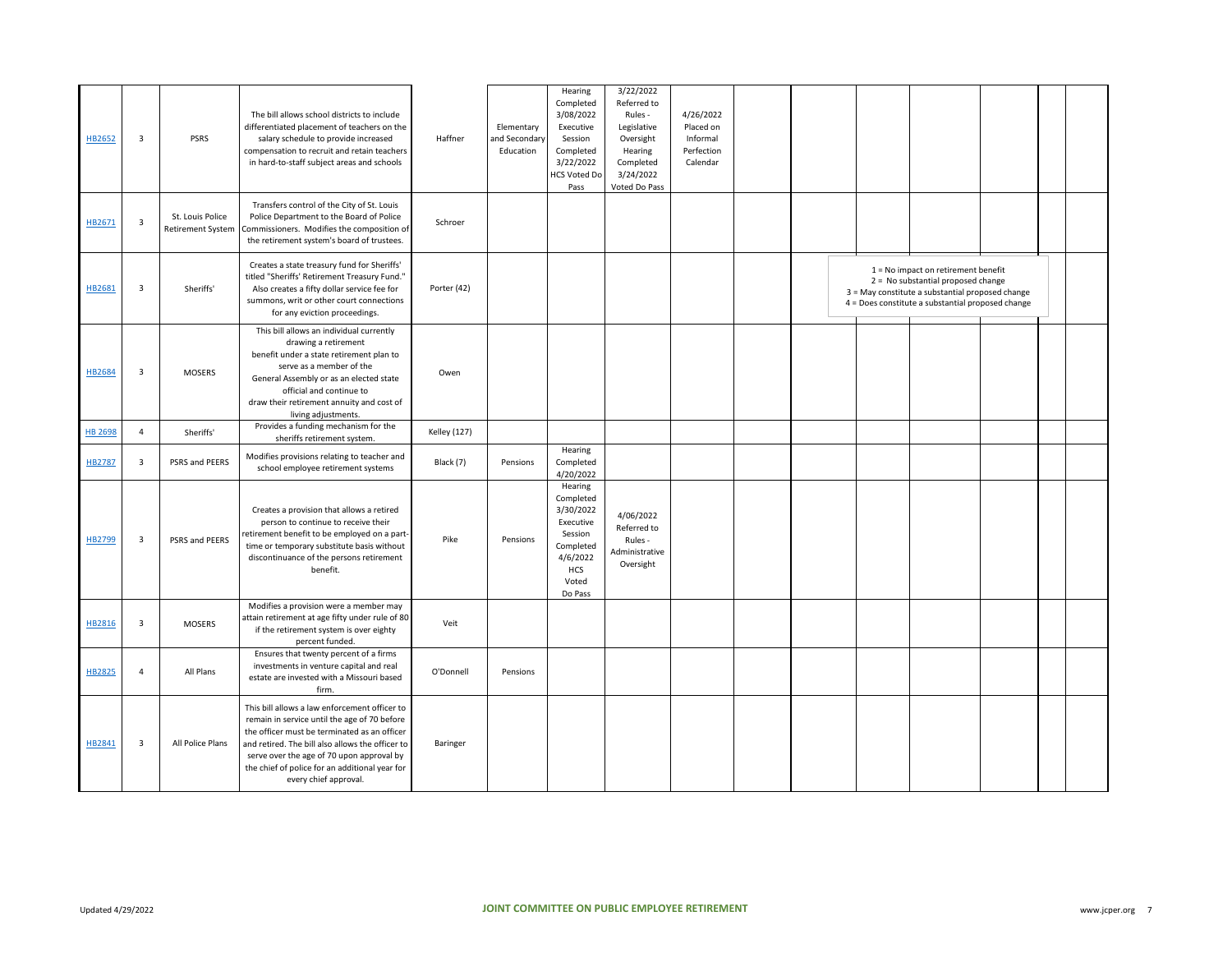| HB2652         | $\overline{\mathbf{3}}$ | <b>PSRS</b>                                  | The bill allows school districts to include<br>differentiated placement of teachers on the<br>salary schedule to provide increased<br>compensation to recruit and retain teachers<br>in hard-to-staff subject areas and schools                                                                                           | Haffner             | Elementary<br>and Secondary<br>Education | Hearing<br>Completed<br>3/08/2022<br>Executive<br>Session<br>Completed<br>3/22/2022<br><b>HCS Voted Do</b><br>Pass   | 3/22/2022<br>Referred to<br>Rules -<br>Legislative<br>Oversight<br>Hearing<br>Completed<br>3/24/2022<br>Voted Do Pass | 4/26/2022<br>Placed on<br>Informal<br>Perfection<br>Calendar |  |                                                                                                                                                                                      |  |  |
|----------------|-------------------------|----------------------------------------------|---------------------------------------------------------------------------------------------------------------------------------------------------------------------------------------------------------------------------------------------------------------------------------------------------------------------------|---------------------|------------------------------------------|----------------------------------------------------------------------------------------------------------------------|-----------------------------------------------------------------------------------------------------------------------|--------------------------------------------------------------|--|--------------------------------------------------------------------------------------------------------------------------------------------------------------------------------------|--|--|
| HB2671         | $\overline{\mathbf{3}}$ | St. Louis Police<br><b>Retirement System</b> | Transfers control of the City of St. Louis<br>Police Department to the Board of Police<br>Commissioners. Modifies the composition of<br>the retirement system's board of trustees.                                                                                                                                        | Schroer             |                                          |                                                                                                                      |                                                                                                                       |                                                              |  |                                                                                                                                                                                      |  |  |
| HB2681         | $\overline{\mathbf{3}}$ | Sheriffs'                                    | Creates a state treasury fund for Sheriffs'<br>titled "Sheriffs' Retirement Treasury Fund."<br>Also creates a fifty dollar service fee for<br>summons, writ or other court connections<br>for any eviction proceedings.                                                                                                   | Porter (42)         |                                          |                                                                                                                      |                                                                                                                       |                                                              |  | $1 = No$ impact on retirement benefit<br>2 = No substantial proposed change<br>3 = May constitute a substantial proposed change<br>4 = Does constitute a substantial proposed change |  |  |
| HB2684         | $\overline{\mathbf{3}}$ | <b>MOSERS</b>                                | This bill allows an individual currently<br>drawing a retirement<br>benefit under a state retirement plan to<br>serve as a member of the<br>General Assembly or as an elected state<br>official and continue to<br>draw their retirement annuity and cost of<br>living adjustments.                                       | Owen                |                                          |                                                                                                                      |                                                                                                                       |                                                              |  |                                                                                                                                                                                      |  |  |
| <b>HB 2698</b> | $\overline{4}$          | Sheriffs'                                    | Provides a funding mechanism for the<br>sheriffs retirement system.                                                                                                                                                                                                                                                       | <b>Kelley</b> (127) |                                          |                                                                                                                      |                                                                                                                       |                                                              |  |                                                                                                                                                                                      |  |  |
| HB2787         | $\overline{\mathbf{3}}$ | PSRS and PEERS                               | Modifies provisions relating to teacher and<br>school employee retirement systems                                                                                                                                                                                                                                         | Black (7)           | Pensions                                 | Hearing<br>Completed<br>4/20/2022                                                                                    |                                                                                                                       |                                                              |  |                                                                                                                                                                                      |  |  |
| HB2799         | $\overline{\mathbf{3}}$ | PSRS and PEERS                               | Creates a provision that allows a retired<br>person to continue to receive their<br>retirement benefit to be employed on a part-<br>time or temporary substitute basis without<br>discontinuance of the persons retirement<br>benefit.                                                                                    | Pike                | Pensions                                 | Hearing<br>Completed<br>3/30/2022<br>Executive<br>Session<br>Completed<br>4/6/2022<br><b>HCS</b><br>Voted<br>Do Pass | 4/06/2022<br>Referred to<br>Rules -<br>Administrative<br>Oversight                                                    |                                                              |  |                                                                                                                                                                                      |  |  |
| HB2816         | $\overline{\mathbf{3}}$ | <b>MOSERS</b>                                | Modifies a provision were a member may<br>attain retirement at age fifty under rule of 80<br>if the retirement system is over eighty<br>percent funded.                                                                                                                                                                   | Veit                |                                          |                                                                                                                      |                                                                                                                       |                                                              |  |                                                                                                                                                                                      |  |  |
| HB2825         | $\overline{4}$          | All Plans                                    | Ensures that twenty percent of a firms<br>investments in venture capital and real<br>estate are invested with a Missouri based<br>firm.                                                                                                                                                                                   | O'Donnell           | Pensions                                 |                                                                                                                      |                                                                                                                       |                                                              |  |                                                                                                                                                                                      |  |  |
| HB2841         | $\overline{\mathbf{3}}$ | All Police Plans                             | This bill allows a law enforcement officer to<br>remain in service until the age of 70 before<br>the officer must be terminated as an officer<br>and retired. The bill also allows the officer to<br>serve over the age of 70 upon approval by<br>the chief of police for an additional year for<br>every chief approval. | Baringer            |                                          |                                                                                                                      |                                                                                                                       |                                                              |  |                                                                                                                                                                                      |  |  |